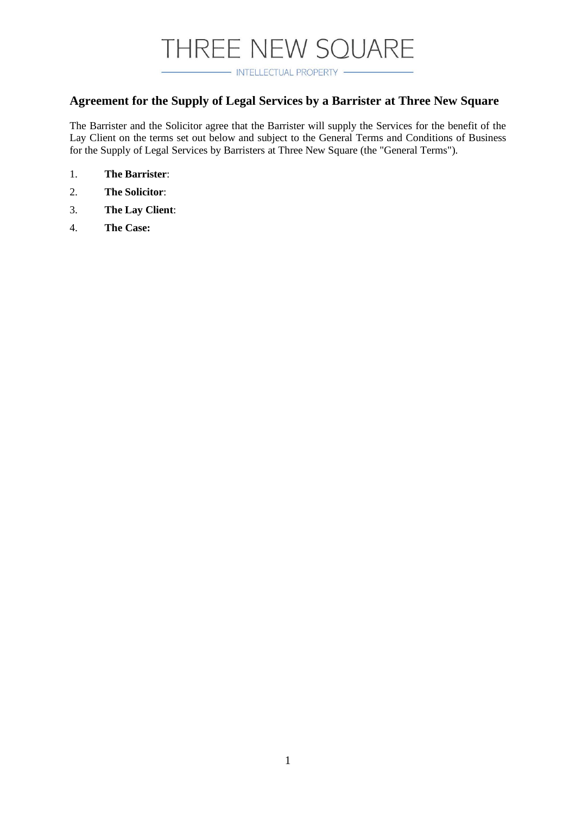- INTELLECTUAL PROPERTY -

### **Agreement for the Supply of Legal Services by a Barrister at Three New Square**

The Barrister and the Solicitor agree that the Barrister will supply the Services for the benefit of the Lay Client on the terms set out below and subject to the General Terms and Conditions of Business for the Supply of Legal Services by Barristers at Three New Square (the "General Terms").

- 1. **The Barrister**:
- 2. **The Solicitor**:
- 3. **The Lay Client**:
- 4. **The Case:**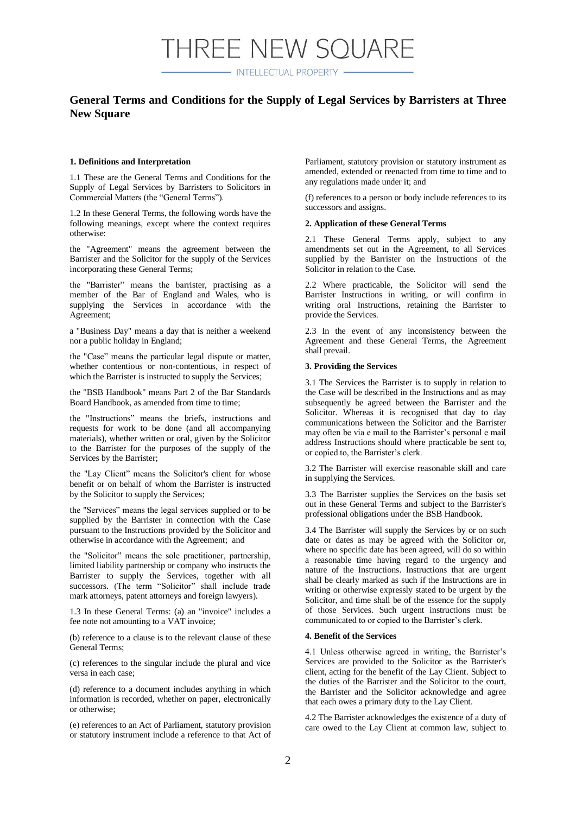- INTELLECTUAL PROPERTY -

### **General Terms and Conditions for the Supply of Legal Services by Barristers at Three New Square**

#### **1. Definitions and Interpretation**

1.1 These are the General Terms and Conditions for the Supply of Legal Services by Barristers to Solicitors in Commercial Matters (the "General Terms").

1.2 In these General Terms, the following words have the following meanings, except where the context requires otherwise:

the "Agreement" means the agreement between the Barrister and the Solicitor for the supply of the Services incorporating these General Terms;

the "Barrister" means the barrister, practising as a member of the Bar of England and Wales, who is supplying the Services in accordance with the Agreement;

a "Business Day" means a day that is neither a weekend nor a public holiday in England;

the "Case" means the particular legal dispute or matter, whether contentious or non-contentious, in respect of which the Barrister is instructed to supply the Services;

the "BSB Handbook" means Part 2 of the Bar Standards Board Handbook, as amended from time to time;

the "Instructions" means the briefs, instructions and requests for work to be done (and all accompanying materials), whether written or oral, given by the Solicitor to the Barrister for the purposes of the supply of the Services by the Barrister;

the "Lay Client" means the Solicitor's client for whose benefit or on behalf of whom the Barrister is instructed by the Solicitor to supply the Services;

the "Services" means the legal services supplied or to be supplied by the Barrister in connection with the Case pursuant to the Instructions provided by the Solicitor and otherwise in accordance with the Agreement; and

the "Solicitor" means the sole practitioner, partnership, limited liability partnership or company who instructs the Barrister to supply the Services, together with all successors. (The term "Solicitor" shall include trade mark attorneys, patent attorneys and foreign lawyers).

1.3 In these General Terms: (a) an "invoice" includes a fee note not amounting to a VAT invoice;

(b) reference to a clause is to the relevant clause of these General Terms;

(c) references to the singular include the plural and vice versa in each case;

(d) reference to a document includes anything in which information is recorded, whether on paper, electronically or otherwise;

(e) references to an Act of Parliament, statutory provision or statutory instrument include a reference to that Act of Parliament, statutory provision or statutory instrument as amended, extended or reenacted from time to time and to any regulations made under it; and

(f) references to a person or body include references to its successors and assigns.

#### **2. Application of these General Terms**

2.1 These General Terms apply, subject to any amendments set out in the Agreement, to all Services supplied by the Barrister on the Instructions of the Solicitor in relation to the Case.

2.2 Where practicable, the Solicitor will send the Barrister Instructions in writing, or will confirm in writing oral Instructions, retaining the Barrister to provide the Services.

2.3 In the event of any inconsistency between the Agreement and these General Terms, the Agreement shall prevail.

#### **3. Providing the Services**

3.1 The Services the Barrister is to supply in relation to the Case will be described in the Instructions and as may subsequently be agreed between the Barrister and the Solicitor. Whereas it is recognised that day to day communications between the Solicitor and the Barrister may often be via e mail to the Barrister's personal e mail address Instructions should where practicable be sent to, or copied to, the Barrister's clerk.

3.2 The Barrister will exercise reasonable skill and care in supplying the Services.

3.3 The Barrister supplies the Services on the basis set out in these General Terms and subject to the Barrister's professional obligations under the BSB Handbook.

3.4 The Barrister will supply the Services by or on such date or dates as may be agreed with the Solicitor or, where no specific date has been agreed, will do so within a reasonable time having regard to the urgency and nature of the Instructions. Instructions that are urgent shall be clearly marked as such if the Instructions are in writing or otherwise expressly stated to be urgent by the Solicitor, and time shall be of the essence for the supply of those Services. Such urgent instructions must be communicated to or copied to the Barrister's clerk.

#### **4. Benefit of the Services**

4.1 Unless otherwise agreed in writing, the Barrister's Services are provided to the Solicitor as the Barrister's client, acting for the benefit of the Lay Client. Subject to the duties of the Barrister and the Solicitor to the court, the Barrister and the Solicitor acknowledge and agree that each owes a primary duty to the Lay Client.

4.2 The Barrister acknowledges the existence of a duty of care owed to the Lay Client at common law, subject to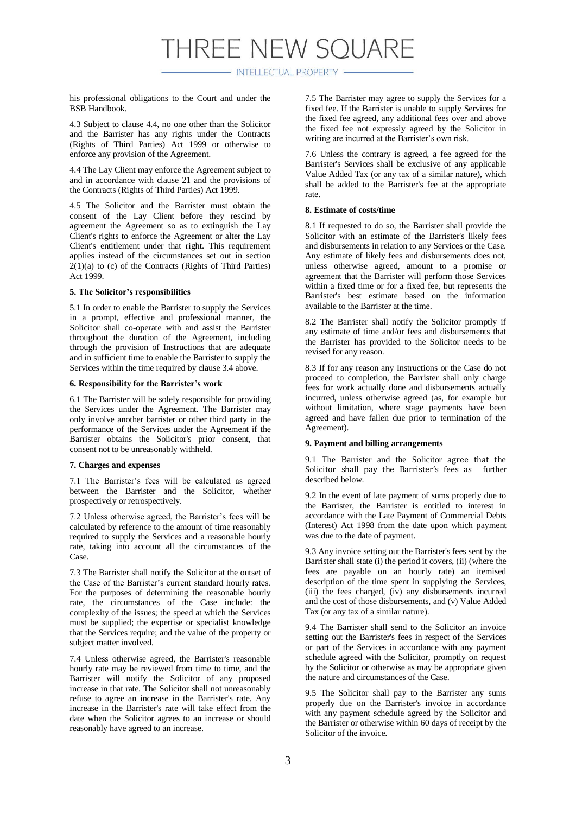- INTELLECTUAL PROPERTY -

his professional obligations to the Court and under the BSB Handbook.

4.3 Subject to clause 4.4, no one other than the Solicitor and the Barrister has any rights under the Contracts (Rights of Third Parties) Act 1999 or otherwise to enforce any provision of the Agreement.

4.4 The Lay Client may enforce the Agreement subject to and in accordance with clause 21 and the provisions of the Contracts (Rights of Third Parties) Act 1999.

4.5 The Solicitor and the Barrister must obtain the consent of the Lay Client before they rescind by agreement the Agreement so as to extinguish the Lay Client's rights to enforce the Agreement or alter the Lay Client's entitlement under that right. This requirement applies instead of the circumstances set out in section  $2(1)(a)$  to (c) of the Contracts (Rights of Third Parties) Act 1999.

#### **5. The Solicitor's responsibilities**

5.1 In order to enable the Barrister to supply the Services in a prompt, effective and professional manner, the Solicitor shall co-operate with and assist the Barrister throughout the duration of the Agreement, including through the provision of Instructions that are adequate and in sufficient time to enable the Barrister to supply the Services within the time required by clause 3.4 above.

#### **6. Responsibility for the Barrister's work**

6.1 The Barrister will be solely responsible for providing the Services under the Agreement. The Barrister may only involve another barrister or other third party in the performance of the Services under the Agreement if the Barrister obtains the Solicitor's prior consent, that consent not to be unreasonably withheld.

#### **7. Charges and expenses**

7.1 The Barrister's fees will be calculated as agreed between the Barrister and the Solicitor, whether prospectively or retrospectively.

7.2 Unless otherwise agreed, the Barrister's fees will be calculated by reference to the amount of time reasonably required to supply the Services and a reasonable hourly rate, taking into account all the circumstances of the Case.

7.3 The Barrister shall notify the Solicitor at the outset of the Case of the Barrister's current standard hourly rates. For the purposes of determining the reasonable hourly rate, the circumstances of the Case include: the complexity of the issues; the speed at which the Services must be supplied; the expertise or specialist knowledge that the Services require; and the value of the property or subject matter involved.

7.4 Unless otherwise agreed, the Barrister's reasonable hourly rate may be reviewed from time to time, and the Barrister will notify the Solicitor of any proposed increase in that rate. The Solicitor shall not unreasonably refuse to agree an increase in the Barrister's rate. Any increase in the Barrister's rate will take effect from the date when the Solicitor agrees to an increase or should reasonably have agreed to an increase.

7.5 The Barrister may agree to supply the Services for a fixed fee. If the Barrister is unable to supply Services for the fixed fee agreed, any additional fees over and above the fixed fee not expressly agreed by the Solicitor in writing are incurred at the Barrister's own risk.

7.6 Unless the contrary is agreed, a fee agreed for the Barrister's Services shall be exclusive of any applicable Value Added Tax (or any tax of a similar nature), which shall be added to the Barrister's fee at the appropriate rate.

#### **8. Estimate of costs/time**

8.1 If requested to do so, the Barrister shall provide the Solicitor with an estimate of the Barrister's likely fees and disbursements in relation to any Services or the Case. Any estimate of likely fees and disbursements does not, unless otherwise agreed, amount to a promise or agreement that the Barrister will perform those Services within a fixed time or for a fixed fee, but represents the Barrister's best estimate based on the information available to the Barrister at the time.

8.2 The Barrister shall notify the Solicitor promptly if any estimate of time and/or fees and disbursements that the Barrister has provided to the Solicitor needs to be revised for any reason.

8.3 If for any reason any Instructions or the Case do not proceed to completion, the Barrister shall only charge fees for work actually done and disbursements actually incurred, unless otherwise agreed (as, for example but without limitation, where stage payments have been agreed and have fallen due prior to termination of the Agreement).

#### **9. Payment and billing arrangements**

9.1 The Barrister and the Solicitor agree that the Solicitor shall pay the Barrister's fees as further described below.

9.2 In the event of late payment of sums properly due to the Barrister, the Barrister is entitled to interest in accordance with the Late Payment of Commercial Debts (Interest) Act 1998 from the date upon which payment was due to the date of payment.

9.3 Any invoice setting out the Barrister's fees sent by the Barrister shall state (i) the period it covers, (ii) (where the fees are payable on an hourly rate) an itemised description of the time spent in supplying the Services, (iii) the fees charged, (iv) any disbursements incurred and the cost of those disbursements, and (v) Value Added Tax (or any tax of a similar nature).

9.4 The Barrister shall send to the Solicitor an invoice setting out the Barrister's fees in respect of the Services or part of the Services in accordance with any payment schedule agreed with the Solicitor, promptly on request by the Solicitor or otherwise as may be appropriate given the nature and circumstances of the Case.

9.5 The Solicitor shall pay to the Barrister any sums properly due on the Barrister's invoice in accordance with any payment schedule agreed by the Solicitor and the Barrister or otherwise within 60 days of receipt by the Solicitor of the invoice.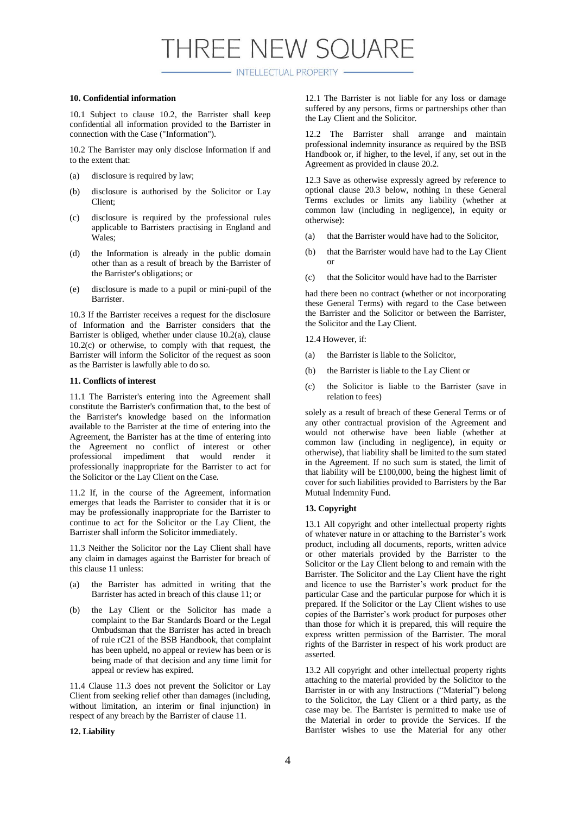- INTELLECTUAL PROPERTY -

#### **10. Confidential information**

10.1 Subject to clause 10.2, the Barrister shall keep confidential all information provided to the Barrister in connection with the Case ("Information").

10.2 The Barrister may only disclose Information if and to the extent that:

- (a) disclosure is required by law;
- (b) disclosure is authorised by the Solicitor or Lay Client;
- (c) disclosure is required by the professional rules applicable to Barristers practising in England and Wales;
- (d) the Information is already in the public domain other than as a result of breach by the Barrister of the Barrister's obligations; or
- (e) disclosure is made to a pupil or mini-pupil of the Barrister.

10.3 If the Barrister receives a request for the disclosure of Information and the Barrister considers that the Barrister is obliged, whether under clause 10.2(a), clause 10.2(c) or otherwise, to comply with that request, the Barrister will inform the Solicitor of the request as soon as the Barrister is lawfully able to do so.

#### **11. Conflicts of interest**

11.1 The Barrister's entering into the Agreement shall constitute the Barrister's confirmation that, to the best of the Barrister's knowledge based on the information available to the Barrister at the time of entering into the Agreement, the Barrister has at the time of entering into the Agreement no conflict of interest or other professional impediment that would render it professionally inappropriate for the Barrister to act for the Solicitor or the Lay Client on the Case.

11.2 If, in the course of the Agreement, information emerges that leads the Barrister to consider that it is or may be professionally inappropriate for the Barrister to continue to act for the Solicitor or the Lay Client, the Barrister shall inform the Solicitor immediately.

11.3 Neither the Solicitor nor the Lay Client shall have any claim in damages against the Barrister for breach of this clause 11 unless:

- (a) the Barrister has admitted in writing that the Barrister has acted in breach of this clause 11; or
- (b) the Lay Client or the Solicitor has made a complaint to the Bar Standards Board or the Legal Ombudsman that the Barrister has acted in breach of rule rC21 of the BSB Handbook, that complaint has been upheld, no appeal or review has been or is being made of that decision and any time limit for appeal or review has expired.

11.4 Clause 11.3 does not prevent the Solicitor or Lay Client from seeking relief other than damages (including, without limitation, an interim or final injunction) in respect of any breach by the Barrister of clause 11.

#### **12. Liability**

12.1 The Barrister is not liable for any loss or damage suffered by any persons, firms or partnerships other than the Lay Client and the Solicitor.

12.2 The Barrister shall arrange and maintain professional indemnity insurance as required by the BSB Handbook or, if higher, to the level, if any, set out in the Agreement as provided in clause 20.2.

12.3 Save as otherwise expressly agreed by reference to optional clause 20.3 below, nothing in these General Terms excludes or limits any liability (whether at common law (including in negligence), in equity or otherwise):

- (a) that the Barrister would have had to the Solicitor,
- (b) that the Barrister would have had to the Lay Client or
- (c) that the Solicitor would have had to the Barrister

had there been no contract (whether or not incorporating these General Terms) with regard to the Case between the Barrister and the Solicitor or between the Barrister, the Solicitor and the Lay Client.

12.4 However, if:

- (a) the Barrister is liable to the Solicitor,
- (b) the Barrister is liable to the Lay Client or
- (c) the Solicitor is liable to the Barrister (save in relation to fees)

solely as a result of breach of these General Terms or of any other contractual provision of the Agreement and would not otherwise have been liable (whether at common law (including in negligence), in equity or otherwise), that liability shall be limited to the sum stated in the Agreement. If no such sum is stated, the limit of that liability will be £100,000, being the highest limit of cover for such liabilities provided to Barristers by the Bar Mutual Indemnity Fund.

#### **13. Copyright**

13.1 All copyright and other intellectual property rights of whatever nature in or attaching to the Barrister's work product, including all documents, reports, written advice or other materials provided by the Barrister to the Solicitor or the Lay Client belong to and remain with the Barrister. The Solicitor and the Lay Client have the right and licence to use the Barrister's work product for the particular Case and the particular purpose for which it is prepared. If the Solicitor or the Lay Client wishes to use copies of the Barrister's work product for purposes other than those for which it is prepared, this will require the express written permission of the Barrister. The moral rights of the Barrister in respect of his work product are asserted.

13.2 All copyright and other intellectual property rights attaching to the material provided by the Solicitor to the Barrister in or with any Instructions ("Material") belong to the Solicitor, the Lay Client or a third party, as the case may be. The Barrister is permitted to make use of the Material in order to provide the Services. If the Barrister wishes to use the Material for any other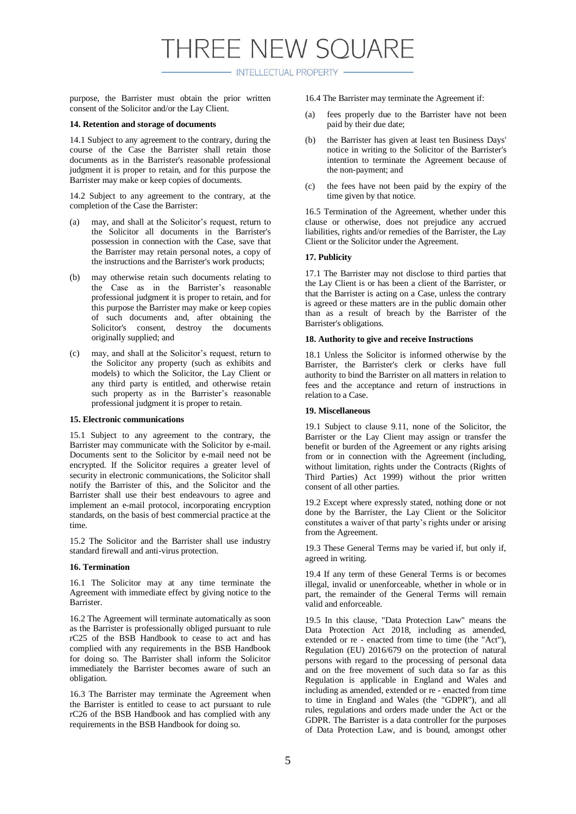- INTELLECTUAL PROPERTY -

purpose, the Barrister must obtain the prior written consent of the Solicitor and/or the Lay Client.

#### **14. Retention and storage of documents**

14.1 Subject to any agreement to the contrary, during the course of the Case the Barrister shall retain those documents as in the Barrister's reasonable professional judgment it is proper to retain, and for this purpose the Barrister may make or keep copies of documents.

14.2 Subject to any agreement to the contrary, at the completion of the Case the Barrister:

- (a) may, and shall at the Solicitor's request, return to the Solicitor all documents in the Barrister's possession in connection with the Case, save that the Barrister may retain personal notes, a copy of the instructions and the Barrister's work products;
- (b) may otherwise retain such documents relating to the Case as in the Barrister's reasonable professional judgment it is proper to retain, and for this purpose the Barrister may make or keep copies of such documents and, after obtaining the Solicitor's consent, destroy the documents originally supplied; and
- (c) may, and shall at the Solicitor's request, return to the Solicitor any property (such as exhibits and models) to which the Solicitor, the Lay Client or any third party is entitled, and otherwise retain such property as in the Barrister's reasonable professional judgment it is proper to retain.

#### **15. Electronic communications**

15.1 Subject to any agreement to the contrary, the Barrister may communicate with the Solicitor by e-mail. Documents sent to the Solicitor by e-mail need not be encrypted. If the Solicitor requires a greater level of security in electronic communications, the Solicitor shall notify the Barrister of this, and the Solicitor and the Barrister shall use their best endeavours to agree and implement an e-mail protocol, incorporating encryption standards, on the basis of best commercial practice at the time.

15.2 The Solicitor and the Barrister shall use industry standard firewall and anti-virus protection.

#### **16. Termination**

16.1 The Solicitor may at any time terminate the Agreement with immediate effect by giving notice to the **Barrister** 

16.2 The Agreement will terminate automatically as soon as the Barrister is professionally obliged pursuant to rule rC25 of the BSB Handbook to cease to act and has complied with any requirements in the BSB Handbook for doing so. The Barrister shall inform the Solicitor immediately the Barrister becomes aware of such an obligation.

16.3 The Barrister may terminate the Agreement when the Barrister is entitled to cease to act pursuant to rule rC26 of the BSB Handbook and has complied with any requirements in the BSB Handbook for doing so.

16.4 The Barrister may terminate the Agreement if:

- (a) fees properly due to the Barrister have not been paid by their due date;
- (b) the Barrister has given at least ten Business Days' notice in writing to the Solicitor of the Barrister's intention to terminate the Agreement because of the non-payment; and
- (c) the fees have not been paid by the expiry of the time given by that notice.

16.5 Termination of the Agreement, whether under this clause or otherwise, does not prejudice any accrued liabilities, rights and/or remedies of the Barrister, the Lay Client or the Solicitor under the Agreement.

#### **17. Publicity**

17.1 The Barrister may not disclose to third parties that the Lay Client is or has been a client of the Barrister, or that the Barrister is acting on a Case, unless the contrary is agreed or these matters are in the public domain other than as a result of breach by the Barrister of the Barrister's obligations.

#### **18. Authority to give and receive Instructions**

18.1 Unless the Solicitor is informed otherwise by the Barrister, the Barrister's clerk or clerks have full authority to bind the Barrister on all matters in relation to fees and the acceptance and return of instructions in relation to a Case.

#### **19. Miscellaneous**

19.1 Subject to clause 9.11, none of the Solicitor, the Barrister or the Lay Client may assign or transfer the benefit or burden of the Agreement or any rights arising from or in connection with the Agreement (including, without limitation, rights under the Contracts (Rights of Third Parties) Act 1999) without the prior written consent of all other parties.

19.2 Except where expressly stated, nothing done or not done by the Barrister, the Lay Client or the Solicitor constitutes a waiver of that party's rights under or arising from the Agreement.

19.3 These General Terms may be varied if, but only if, agreed in writing.

19.4 If any term of these General Terms is or becomes illegal, invalid or unenforceable, whether in whole or in part, the remainder of the General Terms will remain valid and enforceable.

19.5 In this clause, "Data Protection Law" means the Data Protection Act 2018, including as amended, extended or re - enacted from time to time (the "Act"), Regulation (EU) 2016/679 on the protection of natural persons with regard to the processing of personal data and on the free movement of such data so far as this Regulation is applicable in England and Wales and including as amended, extended or re - enacted from time to time in England and Wales (the "GDPR"), and all rules, regulations and orders made under the Act or the GDPR. The Barrister is a data controller for the purposes of Data Protection Law, and is bound, amongst other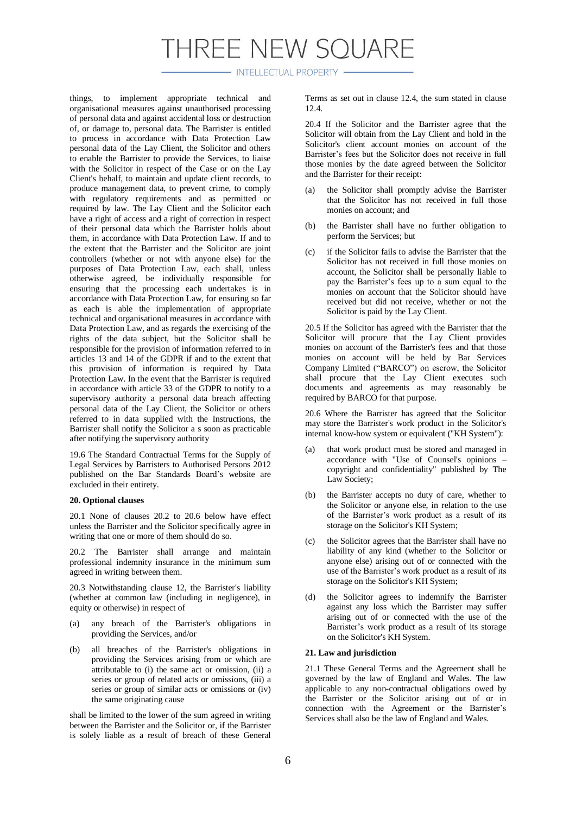- INTELLECTUAL PROPERTY -

things, to implement appropriate technical and organisational measures against unauthorised processing of personal data and against accidental loss or destruction of, or damage to, personal data. The Barrister is entitled to process in accordance with Data Protection Law personal data of the Lay Client, the Solicitor and others to enable the Barrister to provide the Services, to liaise with the Solicitor in respect of the Case or on the Lay Client's behalf, to maintain and update client records, to produce management data, to prevent crime, to comply with regulatory requirements and as permitted or required by law. The Lay Client and the Solicitor each have a right of access and a right of correction in respect of their personal data which the Barrister holds about them, in accordance with Data Protection Law. If and to the extent that the Barrister and the Solicitor are joint controllers (whether or not with anyone else) for the purposes of Data Protection Law, each shall, unless otherwise agreed, be individually responsible for ensuring that the processing each undertakes is in accordance with Data Protection Law, for ensuring so far as each is able the implementation of appropriate technical and organisational measures in accordance with Data Protection Law, and as regards the exercising of the rights of the data subject, but the Solicitor shall be responsible for the provision of information referred to in articles 13 and 14 of the GDPR if and to the extent that this provision of information is required by Data Protection Law. In the event that the Barrister is required in accordance with article 33 of the GDPR to notify to a supervisory authority a personal data breach affecting personal data of the Lay Client, the Solicitor or others referred to in data supplied with the Instructions, the Barrister shall notify the Solicitor a s soon as practicable after notifying the supervisory authority

19.6 The Standard Contractual Terms for the Supply of Legal Services by Barristers to Authorised Persons 2012 published on the Bar Standards Board's website are excluded in their entirety.

#### **20. Optional clauses**

20.1 None of clauses 20.2 to 20.6 below have effect unless the Barrister and the Solicitor specifically agree in writing that one or more of them should do so.

20.2 The Barrister shall arrange and maintain professional indemnity insurance in the minimum sum agreed in writing between them.

20.3 Notwithstanding clause 12, the Barrister's liability (whether at common law (including in negligence), in equity or otherwise) in respect of

- (a) any breach of the Barrister's obligations in providing the Services, and/or
- (b) all breaches of the Barrister's obligations in providing the Services arising from or which are attributable to (i) the same act or omission, (ii) a series or group of related acts or omissions, (iii) a series or group of similar acts or omissions or (iv) the same originating cause

shall be limited to the lower of the sum agreed in writing between the Barrister and the Solicitor or, if the Barrister is solely liable as a result of breach of these General Terms as set out in clause 12.4, the sum stated in clause 12.4.

20.4 If the Solicitor and the Barrister agree that the Solicitor will obtain from the Lay Client and hold in the Solicitor's client account monies on account of the Barrister's fees but the Solicitor does not receive in full those monies by the date agreed between the Solicitor and the Barrister for their receipt:

- (a) the Solicitor shall promptly advise the Barrister that the Solicitor has not received in full those monies on account; and
- (b) the Barrister shall have no further obligation to perform the Services; but
- (c) if the Solicitor fails to advise the Barrister that the Solicitor has not received in full those monies on account, the Solicitor shall be personally liable to pay the Barrister's fees up to a sum equal to the monies on account that the Solicitor should have received but did not receive, whether or not the Solicitor is paid by the Lay Client.

20.5 If the Solicitor has agreed with the Barrister that the Solicitor will procure that the Lay Client provides monies on account of the Barrister's fees and that those monies on account will be held by Bar Services Company Limited ("BARCO") on escrow, the Solicitor shall procure that the Lay Client executes such documents and agreements as may reasonably be required by BARCO for that purpose.

20.6 Where the Barrister has agreed that the Solicitor may store the Barrister's work product in the Solicitor's internal know-how system or equivalent ("KH System"):

- (a) that work product must be stored and managed in accordance with "Use of Counsel's opinions – copyright and confidentiality" published by The Law Society;
- (b) the Barrister accepts no duty of care, whether to the Solicitor or anyone else, in relation to the use of the Barrister's work product as a result of its storage on the Solicitor's KH System;
- (c) the Solicitor agrees that the Barrister shall have no liability of any kind (whether to the Solicitor or anyone else) arising out of or connected with the use of the Barrister's work product as a result of its storage on the Solicitor's KH System;
- (d) the Solicitor agrees to indemnify the Barrister against any loss which the Barrister may suffer arising out of or connected with the use of the Barrister's work product as a result of its storage on the Solicitor's KH System.

#### **21. Law and jurisdiction**

21.1 These General Terms and the Agreement shall be governed by the law of England and Wales. The law applicable to any non-contractual obligations owed by the Barrister or the Solicitor arising out of or in connection with the Agreement or the Barrister's Services shall also be the law of England and Wales.